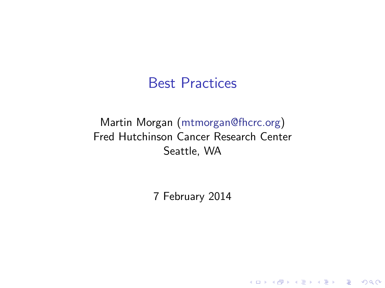#### Best Practices

#### Martin Morgan [\(mtmorgan@fhcrc.org\)](mailto:mtmorgan@fhcrc.org) Fred Hutchinson Cancer Research Center Seattle, WA

7 February 2014

K ロ ▶ K @ ▶ K 할 ▶ K 할 ▶ | 할 | © 9 Q @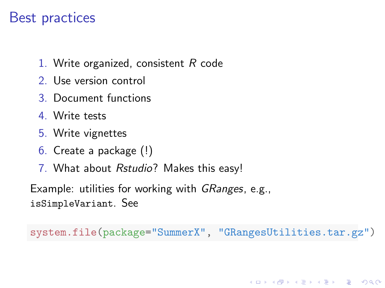## Best practices

- 1. Write organized, consistent R code
- 2. Use version control
- 3. Document functions
- 4. Write tests
- 5. Write vignettes
- 6. Create a package (!)
- 7. What about Rstudio? Makes this easy!

Example: utilities for working with *GRanges*, e.g., isSimpleVariant. See

system.file(package="SummerX", "GRangesUtilities.tar.gz")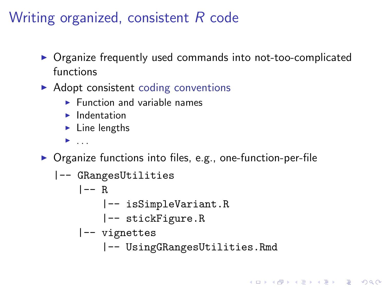## Writing organized, consistent R code

- Organize frequently used commands into not-too-complicated functions
- $\blacktriangleright$  Adopt consistent [coding conventions](http://bioconductor.org/developers/how-to/coding-style/)
	- $\blacktriangleright$  Function and variable names
	- $\blacktriangleright$  Indentation
	- $\blacktriangleright$  Line lengths
	- $\blacktriangleright$  ...
- $\triangleright$  Organize functions into files, e.g., one-function-per-file

|-- GRangesUtilities |-- R |-- isSimpleVariant.R |-- stickFigure.R |-- vignettes |-- UsingGRangesUtilities.Rmd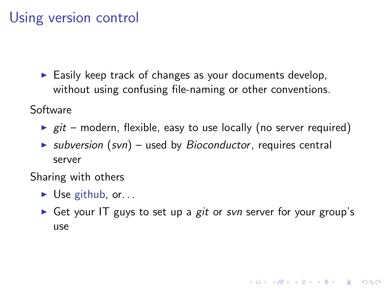## Using version control

 $\blacktriangleright$  Easily keep track of changes as your documents develop, without using confusing file-naming or other conventions.

Software

- $\rightarrow$  git modern, flexible, easy to use locally (no server required)
- $\triangleright$  subversion (svn) used by Bioconductor, requires central server

Sharing with others

- $\triangleright$  Use [github,](http://github.com) or...
- Get your IT guys to set up a git or svn server for your group's use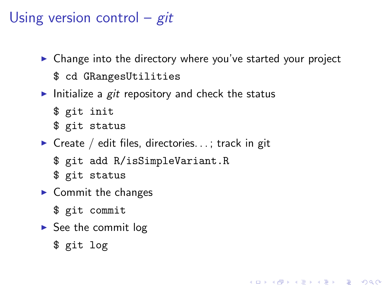# Using version control –  $git$

 $\triangleright$  Change into the directory where you've started your project

KELK KØLK VELKEN EL 1990

- \$ cd GRangesUtilities
- Initialize a git repository and check the status
	- \$ git init
	- \$ git status
- $\triangleright$  Create / edit files, directories...; track in git
	- \$ git add R/isSimpleVariant.R
	- \$ git status
- $\blacktriangleright$  Commit the changes
	- \$ git commit
- $\triangleright$  See the commit log
	- \$ git log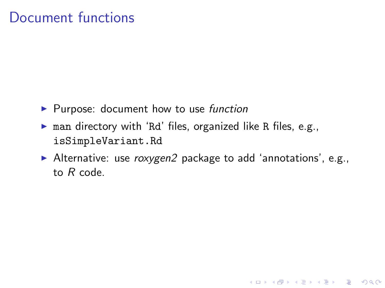## Document functions

- $\blacktriangleright$  Purpose: document how to use function
- $\triangleright$  man directory with 'Rd' files, organized like R files, e.g., isSimpleVariant.Rd
- Alternative: use  $roxygen2$  package to add 'annotations', e.g., to R code.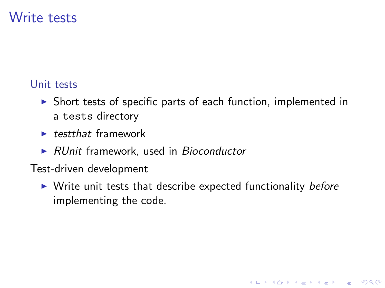## Write tests

#### [Unit tests](http://bioconductor.org/developers/how-to/unitTesting-guidelines/)

- $\triangleright$  Short tests of specific parts of each function, implemented in a tests directory
- $\blacktriangleright$  testthat framework
- $\triangleright$  RUnit framework, used in Bioconductor
- Test-driven development
	- $\triangleright$  Write unit tests that describe expected functionality before implementing the code.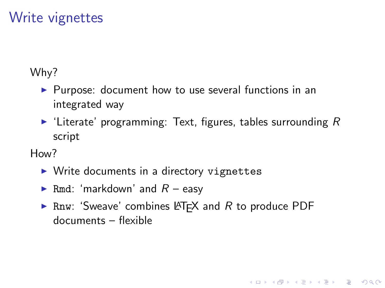## Write vignettes

Why?

- $\blacktriangleright$  Purpose: document how to use several functions in an integrated way
- $\blacktriangleright$  'Literate' programming: Text, figures, tables surrounding R script

H<sub>ow</sub>?

- $\triangleright$  Write documents in a directory vignettes
- Rmd: 'markdown' and  $R$  easy
- **Fig. 2** Rnw: 'Sweave' combines LAT<sub>F</sub>X and R to produce PDF documents – flexible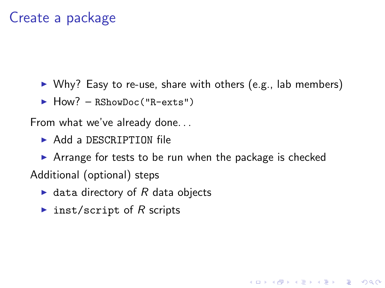## Create a package

- $\triangleright$  Why? Easy to re-use, share with others (e.g., lab members)
- $\blacktriangleright$  How? RShowDoc("R-exts")

From what we've already done. . .

 $\blacktriangleright$  Add a DESCRIPTION file

 $\triangleright$  Arrange for tests to be run when the package is checked Additional (optional) steps

- $\blacktriangleright$  data directory of R data objects
- inst/script of R scripts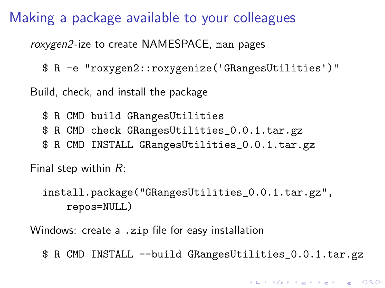Making a package available to your colleagues

roxygen2-ize to create NAMESPACE, man pages

\$ R -e "roxygen2::roxygenize('GRangesUtilities')"

Build, check, and install the package

\$ R CMD build GRangesUtilities

- \$ R CMD check GRangesUtilities\_0.0.1.tar.gz
- \$ R CMD INSTALL GRangesUtilities\_0.0.1.tar.gz

Final step within R:

install.package("GRangesUtilities\_0.0.1.tar.gz", repos=NULL)

Windows: create a .zip file for easy installation

\$ R CMD INSTALL --build GRangesUtilities\_0.0.1.tar.gz